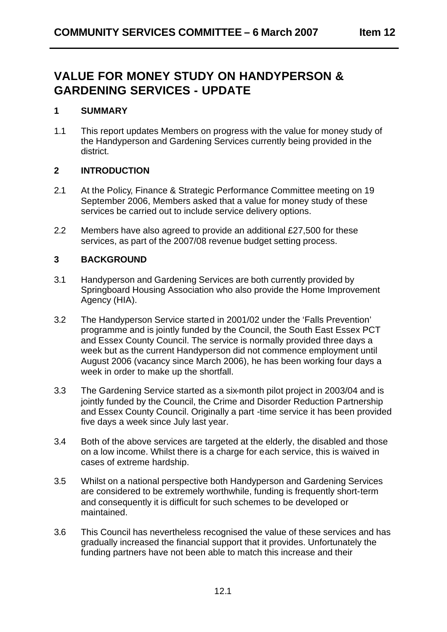# **VALUE FOR MONEY STUDY ON HANDYPERSON & GARDENING SERVICES - UPDATE**

#### **1 SUMMARY**

1.1 This report updates Members on progress with the value for money study of the Handyperson and Gardening Services currently being provided in the district.

## **2 INTRODUCTION**

- 2.1 At the Policy, Finance & Strategic Performance Committee meeting on 19 September 2006, Members asked that a value for money study of these services be carried out to include service delivery options.
- 2.2 Members have also agreed to provide an additional £27,500 for these services, as part of the 2007/08 revenue budget setting process.

## **3 BACKGROUND**

- 3.1 Handyperson and Gardening Services are both currently provided by Springboard Housing Association who also provide the Home Improvement Agency (HIA).
- 3.2 The Handyperson Service started in 2001/02 under the 'Falls Prevention' programme and is jointly funded by the Council, the South East Essex PCT and Essex County Council. The service is normally provided three days a week but as the current Handyperson did not commence employment until August 2006 (vacancy since March 2006), he has been working four days a week in order to make up the shortfall.
- 3.3 The Gardening Service started as a six-month pilot project in 2003/04 and is jointly funded by the Council, the Crime and Disorder Reduction Partnership and Essex County Council. Originally a part -time service it has been provided five days a week since July last year.
- 3.4 Both of the above services are targeted at the elderly, the disabled and those on a low income. Whilst there is a charge for each service, this is waived in cases of extreme hardship.
- 3.5 Whilst on a national perspective both Handyperson and Gardening Services are considered to be extremely worthwhile, funding is frequently short-term and consequently it is difficult for such schemes to be developed or maintained.
- 3.6 This Council has nevertheless recognised the value of these services and has gradually increased the financial support that it provides. Unfortunately the funding partners have not been able to match this increase and their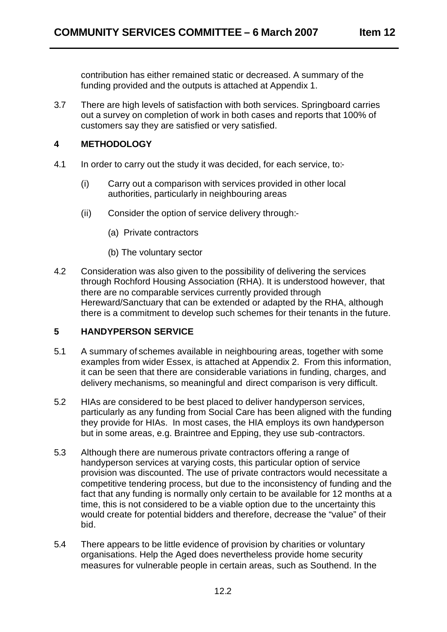contribution has either remained static or decreased. A summary of the funding provided and the outputs is attached at Appendix 1.

3.7 There are high levels of satisfaction with both services. Springboard carries out a survey on completion of work in both cases and reports that 100% of customers say they are satisfied or very satisfied.

#### **4 METHODOLOGY**

- 4.1 In order to carry out the study it was decided, for each service, to:-
	- (i) Carry out a comparison with services provided in other local authorities, particularly in neighbouring areas
	- (ii) Consider the option of service delivery through:-
		- (a) Private contractors
		- (b) The voluntary sector
- 4.2 Consideration was also given to the possibility of delivering the services through Rochford Housing Association (RHA). It is understood however, that there are no comparable services currently provided through Hereward/Sanctuary that can be extended or adapted by the RHA, although there is a commitment to develop such schemes for their tenants in the future.

#### **5 HANDYPERSON SERVICE**

- 5.1 A summary of schemes available in neighbouring areas, together with some examples from wider Essex, is attached at Appendix 2. From this information, it can be seen that there are considerable variations in funding, charges, and delivery mechanisms, so meaningful and direct comparison is very difficult.
- 5.2 HIAs are considered to be best placed to deliver handyperson services, particularly as any funding from Social Care has been aligned with the funding they provide for HIAs. In most cases, the HIA employs its own handyperson but in some areas, e.g. Braintree and Epping, they use sub-contractors.
- 5.3 Although there are numerous private contractors offering a range of handyperson services at varying costs, this particular option of service provision was discounted. The use of private contractors would necessitate a competitive tendering process, but due to the inconsistency of funding and the fact that any funding is normally only certain to be available for 12 months at a time, this is not considered to be a viable option due to the uncertainty this would create for potential bidders and therefore, decrease the "value" of their bid.
- 5.4 There appears to be little evidence of provision by charities or voluntary organisations. Help the Aged does nevertheless provide home security measures for vulnerable people in certain areas, such as Southend. In the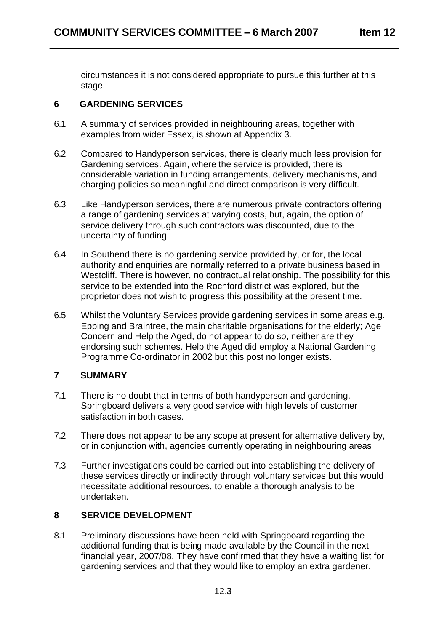circumstances it is not considered appropriate to pursue this further at this stage.

## **6 GARDENING SERVICES**

- 6.1 A summary of services provided in neighbouring areas, together with examples from wider Essex, is shown at Appendix 3.
- 6.2 Compared to Handyperson services, there is clearly much less provision for Gardening services. Again, where the service is provided, there is considerable variation in funding arrangements, delivery mechanisms, and charging policies so meaningful and direct comparison is very difficult.
- 6.3 Like Handyperson services, there are numerous private contractors offering a range of gardening services at varying costs, but, again, the option of service delivery through such contractors was discounted, due to the uncertainty of funding.
- 6.4 In Southend there is no gardening service provided by, or for, the local authority and enquiries are normally referred to a private business based in Westcliff. There is however, no contractual relationship. The possibility for this service to be extended into the Rochford district was explored, but the proprietor does not wish to progress this possibility at the present time.
- 6.5 Whilst the Voluntary Services provide gardening services in some areas e.g. Epping and Braintree, the main charitable organisations for the elderly; Age Concern and Help the Aged, do not appear to do so, neither are they endorsing such schemes. Help the Aged did employ a National Gardening Programme Co-ordinator in 2002 but this post no longer exists.

## **7 SUMMARY**

- 7.1 There is no doubt that in terms of both handyperson and gardening, Springboard delivers a very good service with high levels of customer satisfaction in both cases.
- 7.2 There does not appear to be any scope at present for alternative delivery by, or in conjunction with, agencies currently operating in neighbouring areas
- 7.3 Further investigations could be carried out into establishing the delivery of these services directly or indirectly through voluntary services but this would necessitate additional resources, to enable a thorough analysis to be undertaken.

## **8 SERVICE DEVELOPMENT**

8.1 Preliminary discussions have been held with Springboard regarding the additional funding that is being made available by the Council in the next financial year, 2007/08. They have confirmed that they have a waiting list for gardening services and that they would like to employ an extra gardener,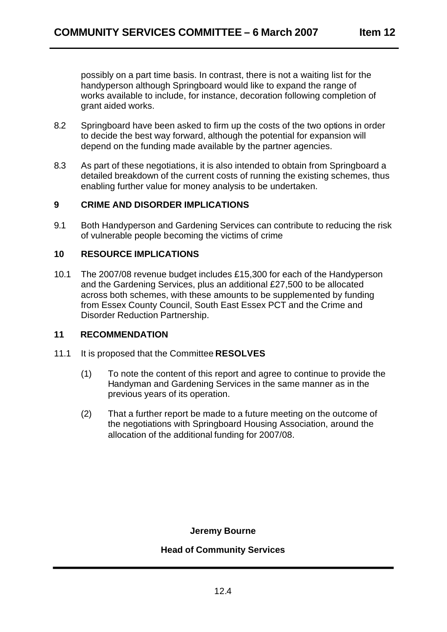possibly on a part time basis. In contrast, there is not a waiting list for the handyperson although Springboard would like to expand the range of works available to include, for instance, decoration following completion of grant aided works.

- 8.2 Springboard have been asked to firm up the costs of the two options in order to decide the best way forward, although the potential for expansion will depend on the funding made available by the partner agencies.
- 8.3 As part of these negotiations, it is also intended to obtain from Springboard a detailed breakdown of the current costs of running the existing schemes, thus enabling further value for money analysis to be undertaken.

#### **9 CRIME AND DISORDER IMPLICATIONS**

9.1 Both Handyperson and Gardening Services can contribute to reducing the risk of vulnerable people becoming the victims of crime

#### **10 RESOURCE IMPLICATIONS**

10.1 The 2007/08 revenue budget includes £15,300 for each of the Handyperson and the Gardening Services, plus an additional £27,500 to be allocated across both schemes, with these amounts to be supplemented by funding from Essex County Council, South East Essex PCT and the Crime and Disorder Reduction Partnership.

#### **11 RECOMMENDATION**

- 11.1 It is proposed that the Committee **RESOLVES** 
	- (1) To note the content of this report and agree to continue to provide the Handyman and Gardening Services in the same manner as in the previous years of its operation.
	- (2) That a further report be made to a future meeting on the outcome of the negotiations with Springboard Housing Association, around the allocation of the additional funding for 2007/08.

#### **Jeremy Bourne**

#### **Head of Community Services**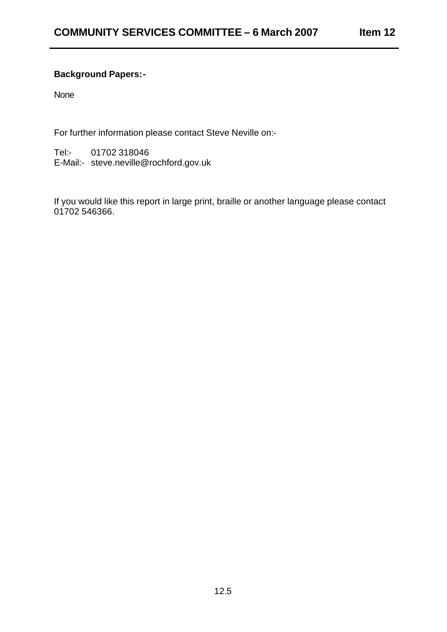## **Background Papers:-**

None

For further information please contact Steve Neville on:-

Tel:- 01702 318046 E-Mail:- steve.neville@rochford.gov.uk

If you would like this report in large print, braille or another language please contact 01702 546366.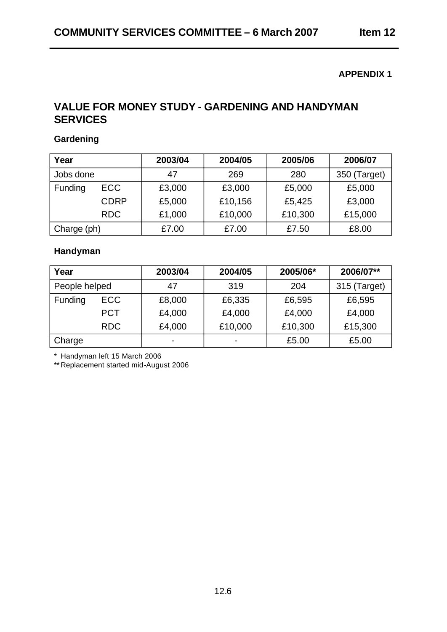## **APPENDIX 1**

## **VALUE FOR MONEY STUDY - GARDENING AND HANDYMAN SERVICES**

## **Gardening**

| Year        |            | 2003/04 | 2004/05 | 2005/06 | 2006/07      |
|-------------|------------|---------|---------|---------|--------------|
| Jobs done   |            | 47      | 269     | 280     | 350 (Target) |
| Funding     | <b>ECC</b> | £3,000  | £3,000  | £5,000  | £5,000       |
|             | CDRP       | £5,000  | £10,156 | £5,425  | £3,000       |
|             | <b>RDC</b> | £1,000  | £10,000 | £10,300 | £15,000      |
| Charge (ph) |            | £7.00   | £7.00   | £7.50   | £8.00        |

#### **Handyman**

| Year           |            | 2003/04                  | 2004/05                  | 2005/06* | 2006/07**    |
|----------------|------------|--------------------------|--------------------------|----------|--------------|
| People helped  |            | 47                       | 319<br>204               |          | 315 (Target) |
| <b>Funding</b> | ECC        | £8,000                   | £6,335                   | £6,595   | £6,595       |
|                | <b>PCT</b> | £4,000                   | £4,000                   | £4,000   | £4,000       |
|                | <b>RDC</b> | £4,000                   | £10,000                  | £10,300  | £15,300      |
| Charge         |            | $\overline{\phantom{0}}$ | $\overline{\phantom{0}}$ | £5.00    | £5.00        |

\* Handyman left 15 March 2006

\*\* Replacement started mid-August 2006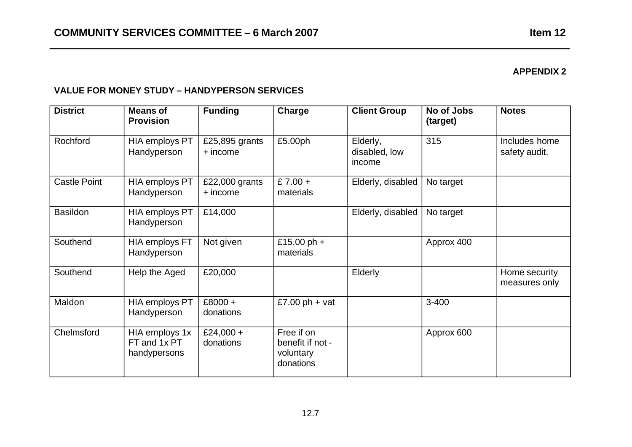#### **APPENDIX 2**

## **VALUE FOR MONEY STUDY – HANDYPERSON SERVICES**

| <b>District</b>     | <b>Means of</b><br><b>Provision</b>            | <b>Funding</b>               | Charge                                                   | <b>Client Group</b>                 | No of Jobs<br>(target) | <b>Notes</b>                   |
|---------------------|------------------------------------------------|------------------------------|----------------------------------------------------------|-------------------------------------|------------------------|--------------------------------|
| Rochford            | <b>HIA employs PT</b><br>Handyperson           | £25,895 grants<br>$+$ income | £5.00ph                                                  | Elderly,<br>disabled, low<br>income | 315                    | Includes home<br>safety audit. |
| <b>Castle Point</b> | <b>HIA employs PT</b><br>Handyperson           | £22,000 grants<br>+ income   | £ $7.00 +$<br>materials                                  | Elderly, disabled                   | No target              |                                |
| <b>Basildon</b>     | <b>HIA employs PT</b><br>Handyperson           | £14,000                      |                                                          | Elderly, disabled                   | No target              |                                |
| Southend            | <b>HIA employs FT</b><br>Handyperson           | Not given                    | £15.00 ph $+$<br>materials                               |                                     | Approx 400             |                                |
| Southend            | Help the Aged                                  | £20,000                      |                                                          | Elderly                             |                        | Home security<br>measures only |
| Maldon              | <b>HIA employs PT</b><br>Handyperson           | $£8000 +$<br>donations       | £7.00 $ph + vat$                                         |                                     | $3 - 400$              |                                |
| Chelmsford          | HIA employs 1x<br>FT and 1x PT<br>handypersons | £24,000 +<br>donations       | Free if on<br>benefit if not -<br>voluntary<br>donations |                                     | Approx 600             |                                |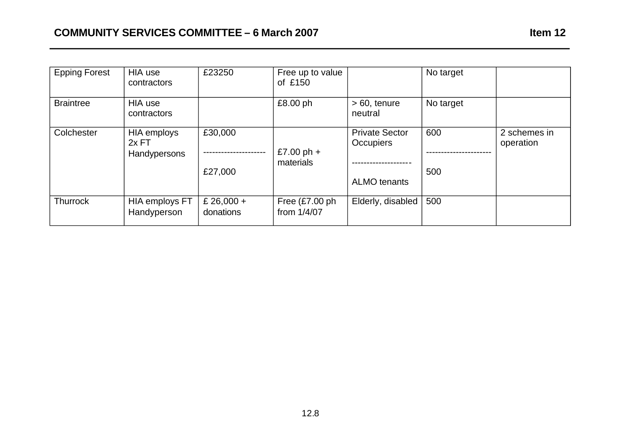Thurrock HIA employs FT

Handyperson

 $£ 26,000 +$ donations

| <b>Epping Forest</b> | HIA use<br>contractors                        | £23250  | Free up to value<br>of £150 |                                           | No target |                           |
|----------------------|-----------------------------------------------|---------|-----------------------------|-------------------------------------------|-----------|---------------------------|
| <b>Braintree</b>     | HIA use<br>contractors                        |         | £8.00 ph                    | $> 60$ , tenure<br>neutral                | No target |                           |
| Colchester           | <b>HIA employs</b><br>$2x$ FT<br>Handypersons | £30,000 | £7.00 $ph +$                | <b>Private Sector</b><br><b>Occupiers</b> | 600       | 2 schemes in<br>operation |
|                      |                                               | £27,000 | materials                   | <b>ALMO</b> tenants                       | 500       |                           |

Elderly, disabled 500

Free (£7.00 ph) from 1/4/07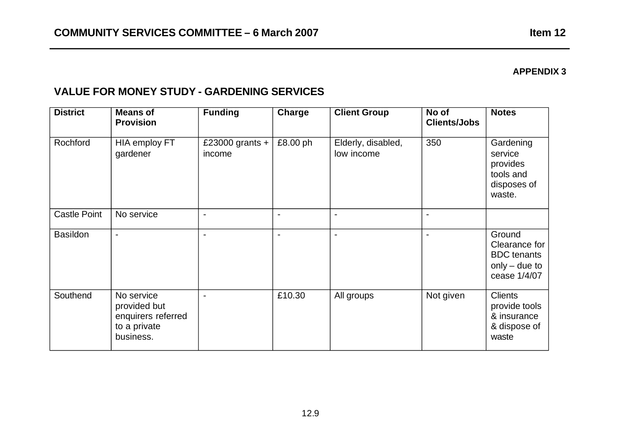#### **APPENDIX 3**

## **VALUE FOR MONEY STUDY - GARDENING SERVICES**

| <b>District</b>     | <b>Means of</b><br><b>Provision</b>                                           | <b>Funding</b>              | Charge   | <b>Client Group</b>              | No of<br><b>Clients/Jobs</b> | <b>Notes</b>                                                                     |
|---------------------|-------------------------------------------------------------------------------|-----------------------------|----------|----------------------------------|------------------------------|----------------------------------------------------------------------------------|
| Rochford            | <b>HIA employ FT</b><br>gardener                                              | £23000 grants $+$<br>income | £8.00 ph | Elderly, disabled,<br>low income | 350                          | Gardening<br>service<br>provides<br>tools and<br>disposes of<br>waste.           |
| <b>Castle Point</b> | No service                                                                    | $\blacksquare$              |          |                                  | $\blacksquare$               |                                                                                  |
| <b>Basildon</b>     |                                                                               |                             |          |                                  | $\overline{\phantom{0}}$     | Ground<br>Clearance for<br><b>BDC</b> tenants<br>$only$ – due to<br>cease 1/4/07 |
| Southend            | No service<br>provided but<br>enquirers referred<br>to a private<br>business. | $\blacksquare$              | £10.30   | All groups                       | Not given                    | <b>Clients</b><br>provide tools<br>& insurance<br>& dispose of<br>waste          |